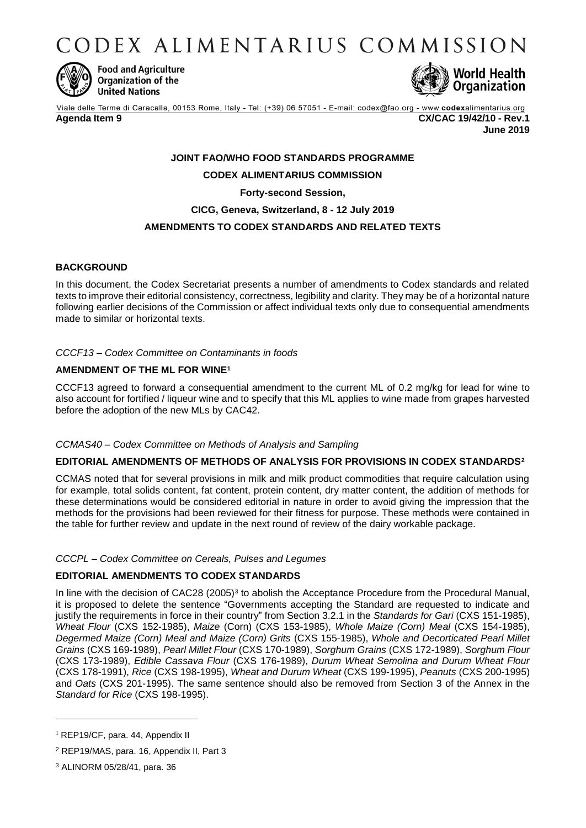CODEX ALIMENTARIUS COMMISSION



**Food and Agriculture** Organization of the **United Nations** 



Viale delle Terme di Caracalla, 00153 Rome, Italy - Tel: (+39) 06 57051 - E-mail: codex@fao.org - www.codexalimentarius.org **Agenda Item 9 CX/CAC 19/42/10 - Rev.1 June 2019**

# **JOINT FAO/WHO FOOD STANDARDS PROGRAMME CODEX ALIMENTARIUS COMMISSION Forty-second Session,**

# **CICG, Geneva, Switzerland, 8 - 12 July 2019**

# **AMENDMENTS TO CODEX STANDARDS AND RELATED TEXTS**

## **BACKGROUND**

In this document, the Codex Secretariat presents a number of amendments to Codex standards and related texts to improve their editorial consistency, correctness, legibility and clarity. They may be of a horizontal nature following earlier decisions of the Commission or affect individual texts only due to consequential amendments made to similar or horizontal texts.

#### *CCCF13 – Codex Committee on Contaminants in foods*

## **AMENDMENT OF THE ML FOR WINE<sup>1</sup>**

CCCF13 agreed to forward a consequential amendment to the current ML of 0.2 mg/kg for lead for wine to also account for fortified / liqueur wine and to specify that this ML applies to wine made from grapes harvested before the adoption of the new MLs by CAC42.

#### *CCMAS40 – Codex Committee on Methods of Analysis and Sampling*

## **EDITORIAL AMENDMENTS OF METHODS OF ANALYSIS FOR PROVISIONS IN CODEX STANDARDS<sup>2</sup>**

CCMAS noted that for several provisions in milk and milk product commodities that require calculation using for example, total solids content, fat content, protein content, dry matter content, the addition of methods for these determinations would be considered editorial in nature in order to avoid giving the impression that the methods for the provisions had been reviewed for their fitness for purpose. These methods were contained in the table for further review and update in the next round of review of the dairy workable package.

*CCCPL – Codex Committee on Cereals, Pulses and Legumes*

## **EDITORIAL AMENDMENTS TO CODEX STANDARDS**

In line with the decision of CAC28 (2005)<sup>3</sup> to abolish the Acceptance Procedure from the Procedural Manual, it is proposed to delete the sentence "Governments accepting the Standard are requested to indicate and justify the requirements in force in their country" from Section 3.2.1 in the *Standards for Gari* (CXS 151-1985), *Wheat Flour* (CXS 152-1985), *Maize* (Corn) (CXS 153-1985), *Whole Maize (Corn) Meal* (CXS 154-1985), *Degermed Maize (Corn) Meal and Maize (Corn) Grits* (CXS 155-1985), *Whole and Decorticated Pearl Millet Grains* (CXS 169-1989), *Pearl Millet Flour* (CXS 170-1989), *Sorghum Grains* (CXS 172-1989), *Sorghum Flour* (CXS 173-1989), *Edible Cassava Flour* (CXS 176-1989), *Durum Wheat Semolina and Durum Wheat Flour* (CXS 178-1991), *Rice* (CXS 198-1995), *Wheat and Durum Wheat* (CXS 199-1995), *Peanuts* (CXS 200-1995) and *Oats* (CXS 201-1995). The same sentence should also be removed from Section 3 of the Annex in the *Standard for Rice* (CXS 198-1995).

1

<sup>&</sup>lt;sup>1</sup> REP19/CF, para. 44, Appendix II

<sup>2</sup> REP19/MAS, para. 16, Appendix II, Part 3

<sup>3</sup> ALINORM 05/28/41, para. 36